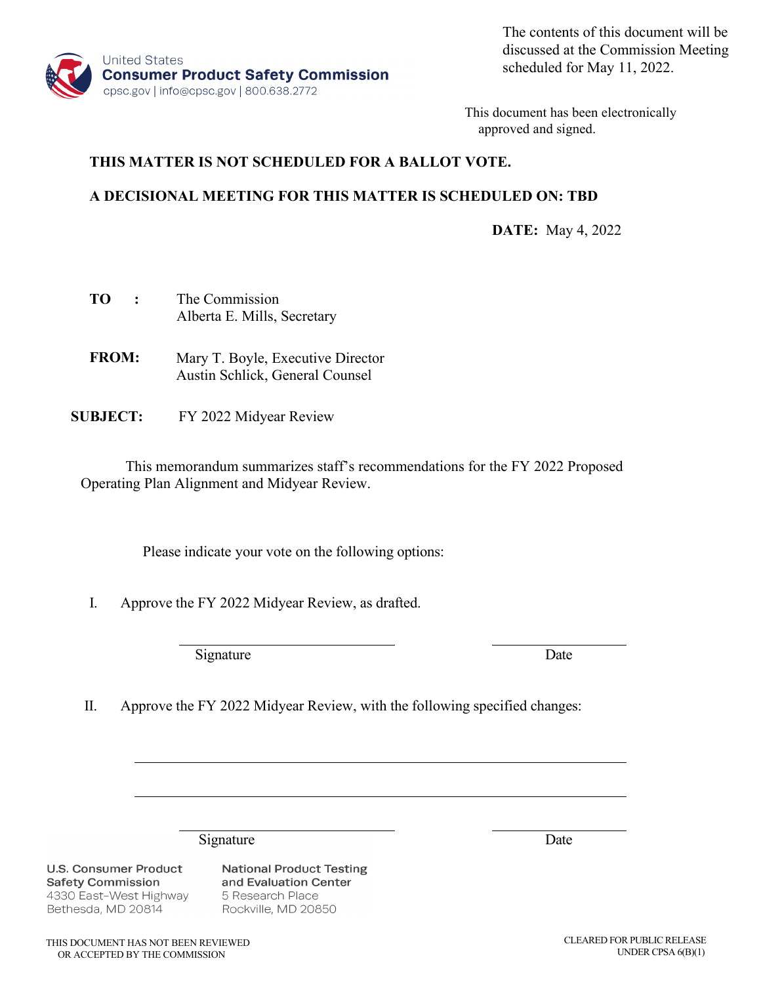

The contents of this document will be discussed at the Commission Meeting scheduled for May 11, 2022.

This document has been electronically approved and signed.

### **THIS MATTER IS NOT SCHEDULED FOR A BALLOT VOTE.**

### **A DECISIONAL MEETING FOR THIS MATTER IS SCHEDULED ON: TBD**

**DATE:** May 4, 2022

| TО | The Commission              |  |  |
|----|-----------------------------|--|--|
|    | Alberta E. Mills, Secretary |  |  |

- **FROM:**  Mary T. Boyle, Executive Director Austin Schlick, General Counsel
- **SUBJECT:** FY 2022 Midyear Review

This memorandum summarizes staff's recommendations for the FY 2022 Proposed Operating Plan Alignment and Midyear Review.

Please indicate your vote on the following options:

I. Approve the FY 2022 Midyear Review, as drafted.

Signature Date

II. Approve the FY 2022 Midyear Review, with the following specified changes:

Signature Date

**U.S. Consumer Product Safety Commission** 4330 East-West Highway Bethesda, MD 20814

**National Product Testing** and Evaluation Center 5 Research Place Rockville, MD 20850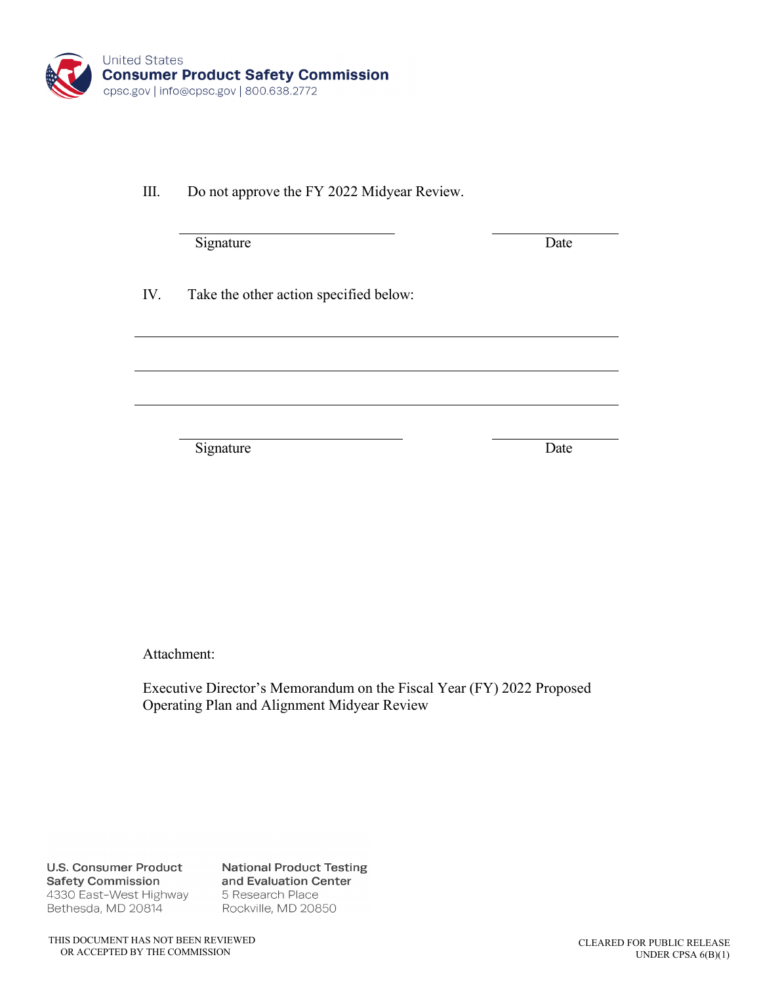

III. Do not approve the FY 2022 Midyear Review.

Signature Date

IV. Take the other action specified below:

Signature Date

Attachment:

Executive Director's Memorandum on the Fiscal Year (FY) 2022 Proposed Operating Plan and Alignment Midyear Review

**U.S. Consumer Product Safety Commission** 4330 East-West Highway Bethesda, MD 20814

**National Product Testing** and Evaluation Center 5 Research Place Rockville, MD 20850

THIS DOCUMENT HAS NOT BEEN REVIEWED OR ACCEPTED BY THE COMMISSION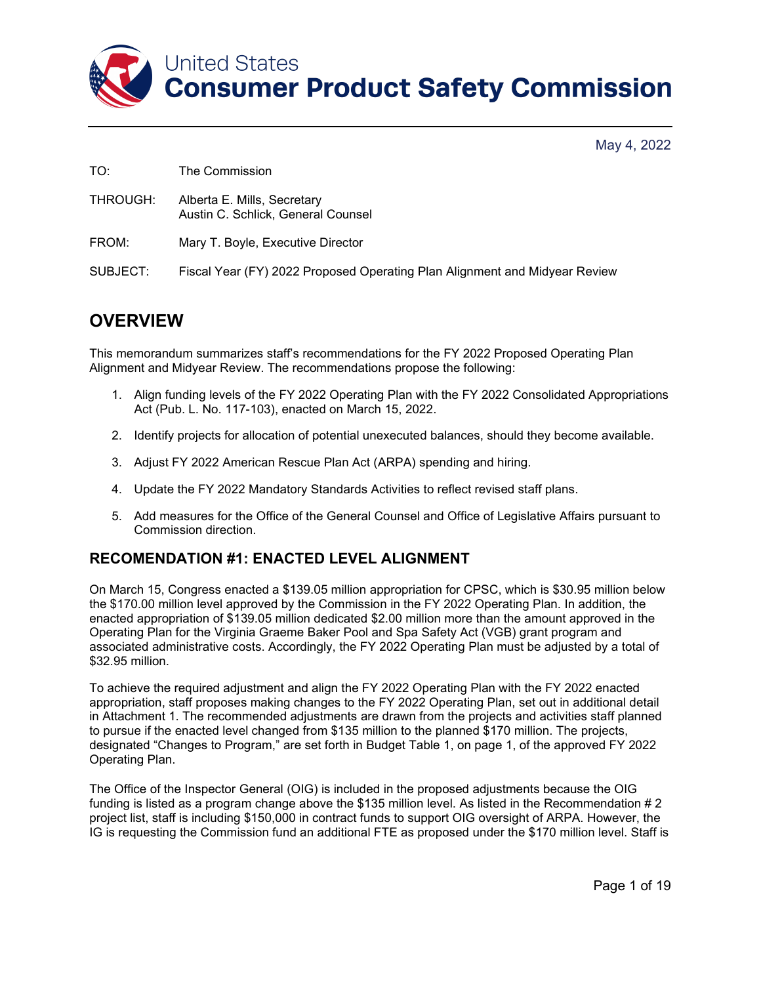

| TO:      | The Commission                                                             |
|----------|----------------------------------------------------------------------------|
| THROUGH: | Alberta E. Mills, Secretary<br>Austin C. Schlick, General Counsel          |
| FROM:    | Mary T. Boyle, Executive Director                                          |
| SUBJECT: | Fiscal Year (FY) 2022 Proposed Operating Plan Alignment and Midyear Review |

# **OVERVIEW**

This memorandum summarizes staff's recommendations for the FY 2022 Proposed Operating Plan Alignment and Midyear Review. The recommendations propose the following:

- 1. Align funding levels of the FY 2022 Operating Plan with the FY 2022 Consolidated Appropriations Act (Pub. L. No. 117-103), enacted on March 15, 2022.
- 2. Identify projects for allocation of potential unexecuted balances, should they become available.
- 3. Adjust FY 2022 American Rescue Plan Act (ARPA) spending and hiring.
- 4. Update the FY 2022 Mandatory Standards Activities to reflect revised staff plans.
- 5. Add measures for the Office of the General Counsel and Office of Legislative Affairs pursuant to Commission direction.

## **RECOMENDATION #1: ENACTED LEVEL ALIGNMENT**

On March 15, Congress enacted a \$139.05 million appropriation for CPSC, which is \$30.95 million below the \$170.00 million level approved by the Commission in the FY 2022 Operating Plan. In addition, the enacted appropriation of \$139.05 million dedicated \$2.00 million more than the amount approved in the Operating Plan for the Virginia Graeme Baker Pool and Spa Safety Act (VGB) grant program and associated administrative costs. Accordingly, the FY 2022 Operating Plan must be adjusted by a total of \$32.95 million.

To achieve the required adjustment and align the FY 2022 Operating Plan with the FY 2022 enacted appropriation, staff proposes making changes to the FY 2022 Operating Plan, set out in additional detail in Attachment 1. The recommended adjustments are drawn from the projects and activities staff planned to pursue if the enacted level changed from \$135 million to the planned \$170 million. The projects, designated "Changes to Program," are set forth in Budget Table 1, on page 1, of the approved FY 2022 Operating Plan.

The Office of the Inspector General (OIG) is included in the proposed adjustments because the OIG funding is listed as a program change above the \$135 million level. As listed in the Recommendation # 2 project list, staff is including \$150,000 in contract funds to support OIG oversight of ARPA. However, the IG is requesting the Commission fund an additional FTE as proposed under the \$170 million level. Staff is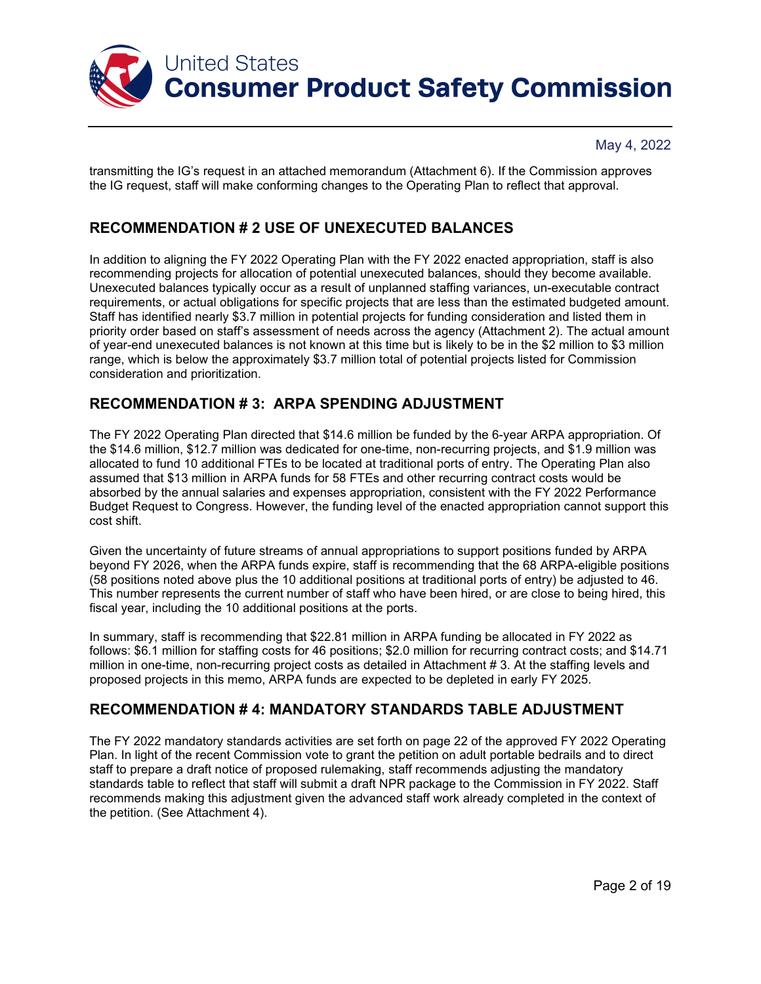

transmitting the IG's request in an attached memorandum (Attachment 6). If the Commission approves the IG request, staff will make conforming changes to the Operating Plan to reflect that approval.

## **RECOMMENDATION # 2 USE OF UNEXECUTED BALANCES**

In addition to aligning the FY 2022 Operating Plan with the FY 2022 enacted appropriation, staff is also recommending projects for allocation of potential unexecuted balances, should they become available. Unexecuted balances typically occur as a result of unplanned staffing variances, un-executable contract requirements, or actual obligations for specific projects that are less than the estimated budgeted amount. Staff has identified nearly \$3.7 million in potential projects for funding consideration and listed them in priority order based on staff's assessment of needs across the agency (Attachment 2). The actual amount of year-end unexecuted balances is not known at this time but is likely to be in the \$2 million to \$3 million range, which is below the approximately \$3.7 million total of potential projects listed for Commission consideration and prioritization.

## **RECOMMENDATION # 3: ARPA SPENDING ADJUSTMENT**

The FY 2022 Operating Plan directed that \$14.6 million be funded by the 6-year ARPA appropriation. Of the \$14.6 million, \$12.7 million was dedicated for one-time, non-recurring projects, and \$1.9 million was allocated to fund 10 additional FTEs to be located at traditional ports of entry. The Operating Plan also assumed that \$13 million in ARPA funds for 58 FTEs and other recurring contract costs would be absorbed by the annual salaries and expenses appropriation, consistent with the FY 2022 Performance Budget Request to Congress. However, the funding level of the enacted appropriation cannot support this cost shift.

Given the uncertainty of future streams of annual appropriations to support positions funded by ARPA beyond FY 2026, when the ARPA funds expire, staff is recommending that the 68 ARPA-eligible positions (58 positions noted above plus the 10 additional positions at traditional ports of entry) be adjusted to 46. This number represents the current number of staff who have been hired, or are close to being hired, this fiscal year, including the 10 additional positions at the ports.

In summary, staff is recommending that \$22.81 million in ARPA funding be allocated in FY 2022 as follows: \$6.1 million for staffing costs for 46 positions; \$2.0 million for recurring contract costs; and \$14.71 million in one-time, non-recurring project costs as detailed in Attachment # 3. At the staffing levels and proposed projects in this memo, ARPA funds are expected to be depleted in early FY 2025.

## **RECOMMENDATION # 4: MANDATORY STANDARDS TABLE ADJUSTMENT**

The FY 2022 mandatory standards activities are set forth on page 22 of the approved FY 2022 Operating Plan. In light of the recent Commission vote to grant the petition on adult portable bedrails and to direct staff to prepare a draft notice of proposed rulemaking, staff recommends adjusting the mandatory standards table to reflect that staff will submit a draft NPR package to the Commission in FY 2022. Staff recommends making this adjustment given the advanced staff work already completed in the context of the petition. (See Attachment 4).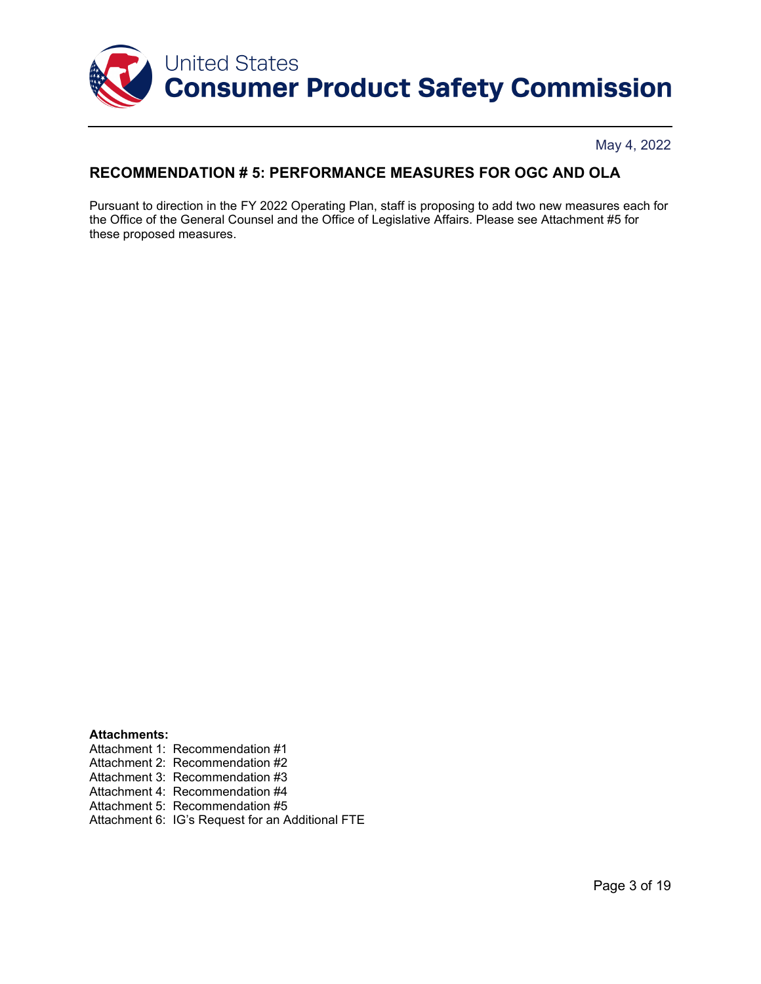

## **RECOMMENDATION # 5: PERFORMANCE MEASURES FOR OGC AND OLA**

Pursuant to direction in the FY 2022 Operating Plan, staff is proposing to add two new measures each for the Office of the General Counsel and the Office of Legislative Affairs. Please see Attachment #5 for these proposed measures.

**Attachments:** Attachment 1: Recommendation #1 Attachment 2: Recommendation #2 Attachment 3: Recommendation #3 Attachment 4: Recommendation #4 Attachment 5: Recommendation #5 Attachment 6: IG's Request for an Additional FTE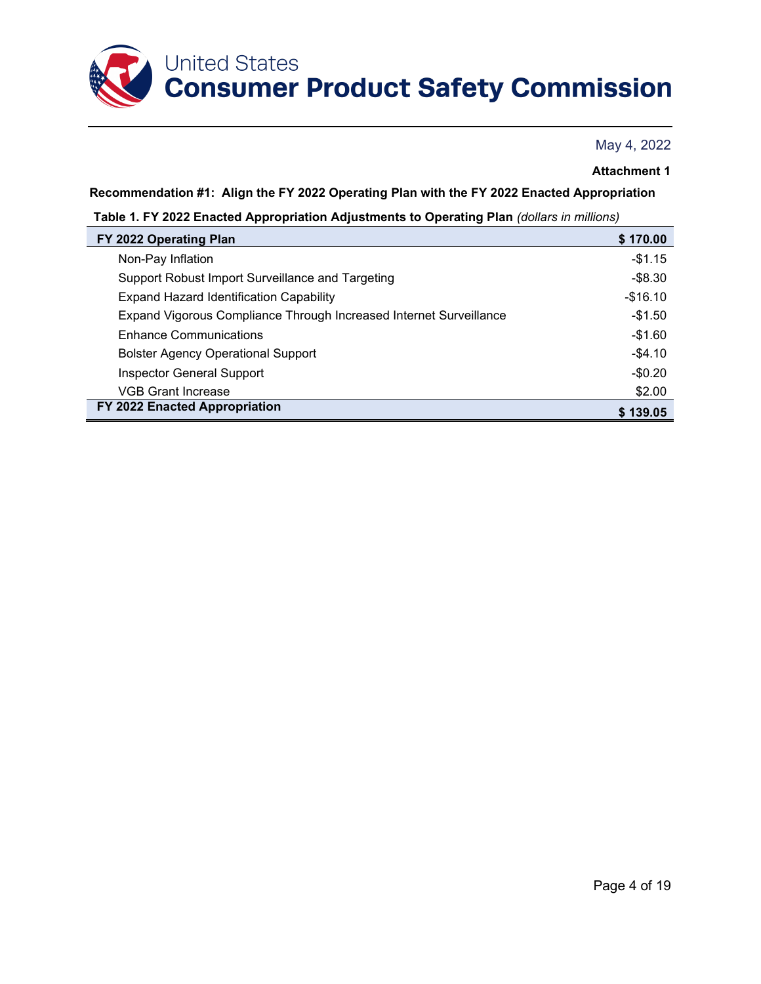

### **Attachment 1**

**Recommendation #1: Align the FY 2022 Operating Plan with the FY 2022 Enacted Appropriation**

**Table 1. FY 2022 Enacted Appropriation Adjustments to Operating Plan** *(dollars in millions)*

| FY 2022 Operating Plan                                             | \$170.00  |
|--------------------------------------------------------------------|-----------|
| Non-Pay Inflation                                                  | $-$1.15$  |
| Support Robust Import Surveillance and Targeting                   | $-$8.30$  |
| <b>Expand Hazard Identification Capability</b>                     | $-$16.10$ |
| Expand Vigorous Compliance Through Increased Internet Surveillance | -\$1.50   |
| <b>Enhance Communications</b>                                      | -\$1.60   |
| <b>Bolster Agency Operational Support</b>                          | $-$4.10$  |
| Inspector General Support                                          | $-$0.20$  |
| <b>VGB Grant Increase</b>                                          | \$2.00    |
| FY 2022 Enacted Appropriation                                      | \$139.05  |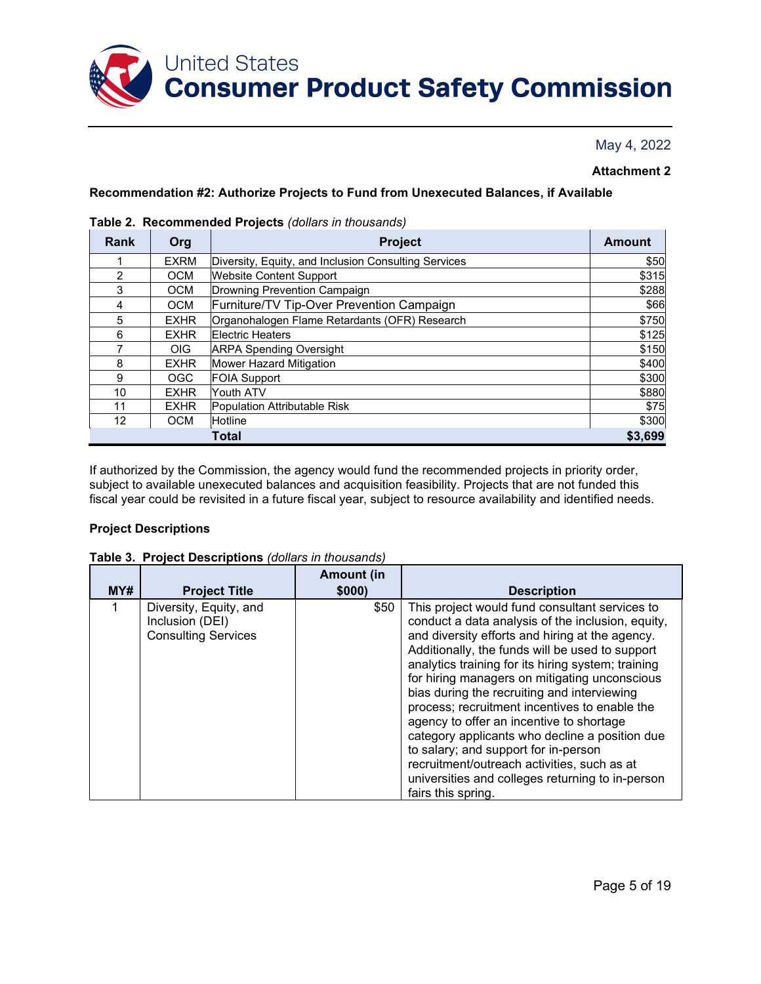

#### **Attachment 2**

#### **Recommendation #2: Authorize Projects to Fund from Unexecuted Balances, if Available**

| Rank           | Org              | Project                                              | <b>Amount</b> |  |
|----------------|------------------|------------------------------------------------------|---------------|--|
|                | <b>EXRM</b>      | Diversity, Equity, and Inclusion Consulting Services | \$50          |  |
| $\overline{2}$ | <b>OCM</b>       | <b>Website Content Support</b>                       | \$315         |  |
| 3              | <b>OCM</b>       | Drowning Prevention Campaign                         | \$288         |  |
| 4              | <b>OCM</b>       | Furniture/TV Tip-Over Prevention Campaign            | \$66          |  |
| 5              | <b>EXHR</b>      | Organohalogen Flame Retardants (OFR) Research        | \$750         |  |
| 6              | <b>EXHR</b>      | <b>Electric Heaters</b>                              |               |  |
|                | OIG.             | <b>ARPA Spending Oversight</b>                       |               |  |
| 8              | <b>EXHR</b>      | Mower Hazard Mitigation                              | \$400         |  |
| 9              | OGC              | <b>FOIA Support</b>                                  | \$300         |  |
| 10             | <b>EXHR</b>      | Youth ATV                                            | \$880         |  |
| 11             | <b>EXHR</b>      | Population Attributable Risk                         | \$75          |  |
| 12             | <b>OCM</b>       | <b>Hotline</b>                                       | \$300         |  |
|                | \$3,699<br>Total |                                                      |               |  |

#### **Table 2. Recommended Projects** *(dollars in thousands)*

If authorized by the Commission, the agency would fund the recommended projects in priority order, subject to available unexecuted balances and acquisition feasibility. Projects that are not funded this fiscal year could be revisited in a future fiscal year, subject to resource availability and identified needs.

#### **Project Descriptions**

| MY# | <b>Project Title</b>                                                    | <b>Amount (in</b><br>\$000) | <b>Description</b>                                                                                                                                                                                                                                                                                                                                                                                                                                                                                                                                                                                                                                                              |
|-----|-------------------------------------------------------------------------|-----------------------------|---------------------------------------------------------------------------------------------------------------------------------------------------------------------------------------------------------------------------------------------------------------------------------------------------------------------------------------------------------------------------------------------------------------------------------------------------------------------------------------------------------------------------------------------------------------------------------------------------------------------------------------------------------------------------------|
|     | Diversity, Equity, and<br>Inclusion (DEI)<br><b>Consulting Services</b> | \$50                        | This project would fund consultant services to<br>conduct a data analysis of the inclusion, equity,<br>and diversity efforts and hiring at the agency.<br>Additionally, the funds will be used to support<br>analytics training for its hiring system; training<br>for hiring managers on mitigating unconscious<br>bias during the recruiting and interviewing<br>process; recruitment incentives to enable the<br>agency to offer an incentive to shortage<br>category applicants who decline a position due<br>to salary; and support for in-person<br>recruitment/outreach activities, such as at<br>universities and colleges returning to in-person<br>fairs this spring. |

**Table 3. Project Descriptions** *(dollars in thousands)*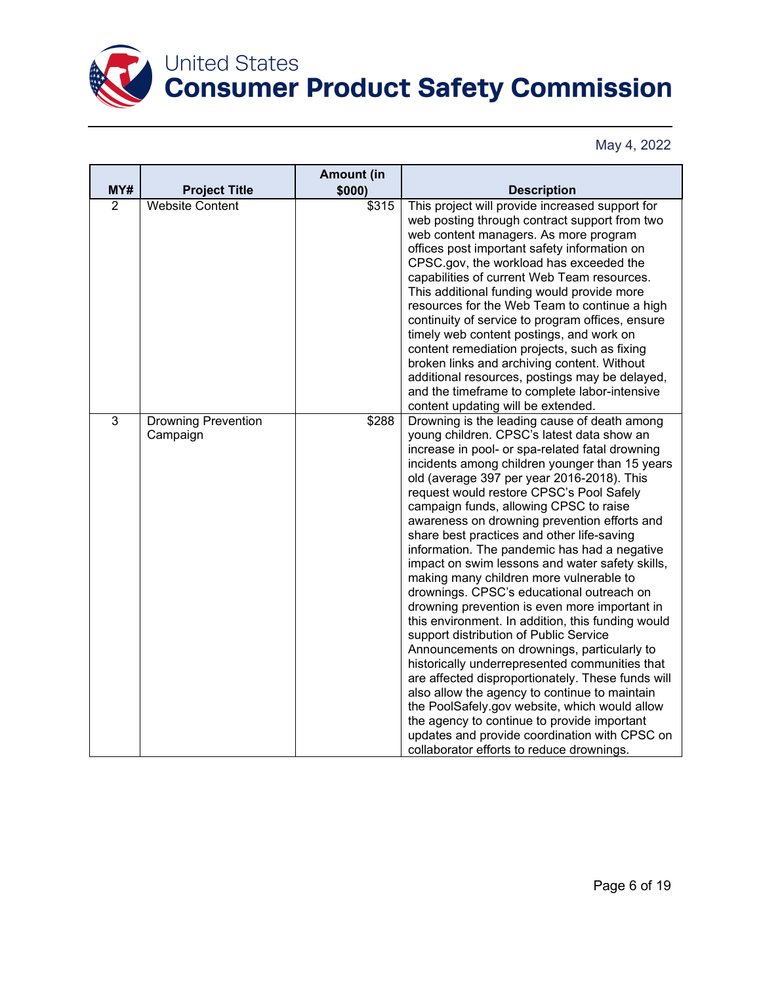

|                |                                        | <b>Amount (in</b> |                                                                                                                                                                                                                                                                                                                                                                                                                                                                                                                                                                                                                                                                                                                                                                                                                                                                                                                                                                                                                                                                                                                                                                                   |
|----------------|----------------------------------------|-------------------|-----------------------------------------------------------------------------------------------------------------------------------------------------------------------------------------------------------------------------------------------------------------------------------------------------------------------------------------------------------------------------------------------------------------------------------------------------------------------------------------------------------------------------------------------------------------------------------------------------------------------------------------------------------------------------------------------------------------------------------------------------------------------------------------------------------------------------------------------------------------------------------------------------------------------------------------------------------------------------------------------------------------------------------------------------------------------------------------------------------------------------------------------------------------------------------|
| MY#            | <b>Project Title</b>                   | \$000)            | <b>Description</b>                                                                                                                                                                                                                                                                                                                                                                                                                                                                                                                                                                                                                                                                                                                                                                                                                                                                                                                                                                                                                                                                                                                                                                |
| $\overline{2}$ | <b>Website Content</b>                 | \$315             | This project will provide increased support for<br>web posting through contract support from two<br>web content managers. As more program<br>offices post important safety information on<br>CPSC.gov, the workload has exceeded the<br>capabilities of current Web Team resources.<br>This additional funding would provide more<br>resources for the Web Team to continue a high<br>continuity of service to program offices, ensure<br>timely web content postings, and work on<br>content remediation projects, such as fixing<br>broken links and archiving content. Without<br>additional resources, postings may be delayed,<br>and the timeframe to complete labor-intensive<br>content updating will be extended.                                                                                                                                                                                                                                                                                                                                                                                                                                                        |
| 3              | <b>Drowning Prevention</b><br>Campaign | \$288             | Drowning is the leading cause of death among<br>young children. CPSC's latest data show an<br>increase in pool- or spa-related fatal drowning<br>incidents among children younger than 15 years<br>old (average 397 per year 2016-2018). This<br>request would restore CPSC's Pool Safely<br>campaign funds, allowing CPSC to raise<br>awareness on drowning prevention efforts and<br>share best practices and other life-saving<br>information. The pandemic has had a negative<br>impact on swim lessons and water safety skills,<br>making many children more vulnerable to<br>drownings. CPSC's educational outreach on<br>drowning prevention is even more important in<br>this environment. In addition, this funding would<br>support distribution of Public Service<br>Announcements on drownings, particularly to<br>historically underrepresented communities that<br>are affected disproportionately. These funds will<br>also allow the agency to continue to maintain<br>the PoolSafely.gov website, which would allow<br>the agency to continue to provide important<br>updates and provide coordination with CPSC on<br>collaborator efforts to reduce drownings. |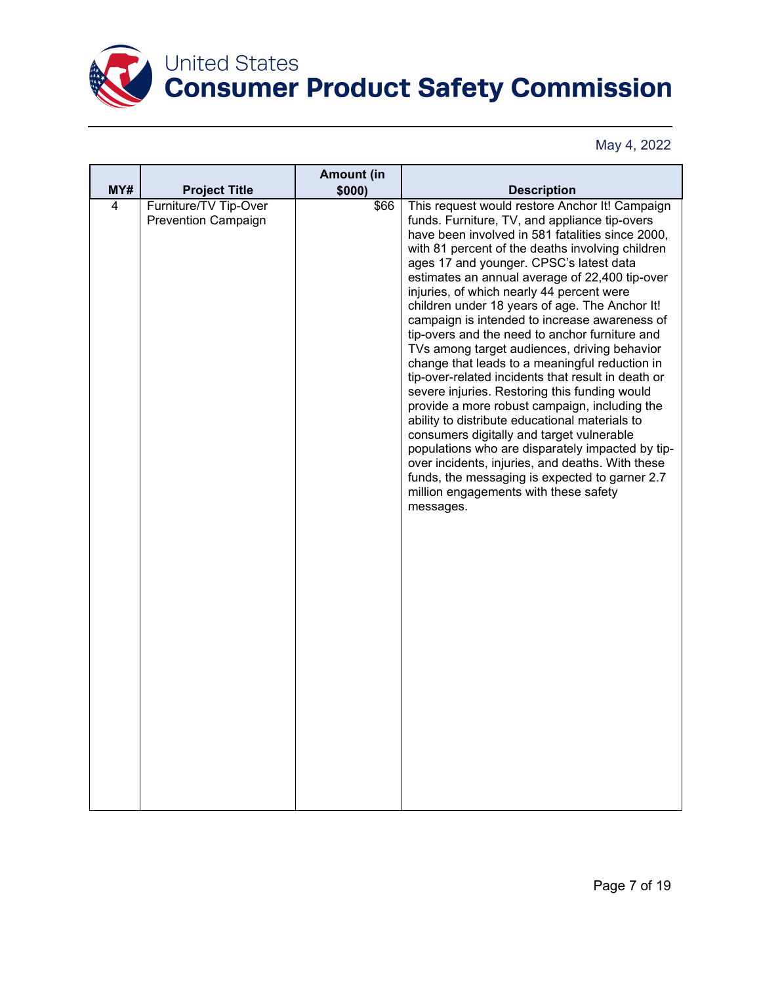

|     |                                                     | <b>Amount (in</b> |                                                                                                                                                                                                                                                                                                                                                                                                                                                                                                                                                                                                                                                                                                                                                                                                                                                                                                                                                                                                                                                                                 |
|-----|-----------------------------------------------------|-------------------|---------------------------------------------------------------------------------------------------------------------------------------------------------------------------------------------------------------------------------------------------------------------------------------------------------------------------------------------------------------------------------------------------------------------------------------------------------------------------------------------------------------------------------------------------------------------------------------------------------------------------------------------------------------------------------------------------------------------------------------------------------------------------------------------------------------------------------------------------------------------------------------------------------------------------------------------------------------------------------------------------------------------------------------------------------------------------------|
| MY# | <b>Project Title</b>                                | \$000)            | <b>Description</b>                                                                                                                                                                                                                                                                                                                                                                                                                                                                                                                                                                                                                                                                                                                                                                                                                                                                                                                                                                                                                                                              |
| 4   | Furniture/TV Tip-Over<br><b>Prevention Campaign</b> | \$66              | This request would restore Anchor It! Campaign<br>funds. Furniture, TV, and appliance tip-overs<br>have been involved in 581 fatalities since 2000,<br>with 81 percent of the deaths involving children<br>ages 17 and younger. CPSC's latest data<br>estimates an annual average of 22,400 tip-over<br>injuries, of which nearly 44 percent were<br>children under 18 years of age. The Anchor It!<br>campaign is intended to increase awareness of<br>tip-overs and the need to anchor furniture and<br>TVs among target audiences, driving behavior<br>change that leads to a meaningful reduction in<br>tip-over-related incidents that result in death or<br>severe injuries. Restoring this funding would<br>provide a more robust campaign, including the<br>ability to distribute educational materials to<br>consumers digitally and target vulnerable<br>populations who are disparately impacted by tip-<br>over incidents, injuries, and deaths. With these<br>funds, the messaging is expected to garner 2.7<br>million engagements with these safety<br>messages. |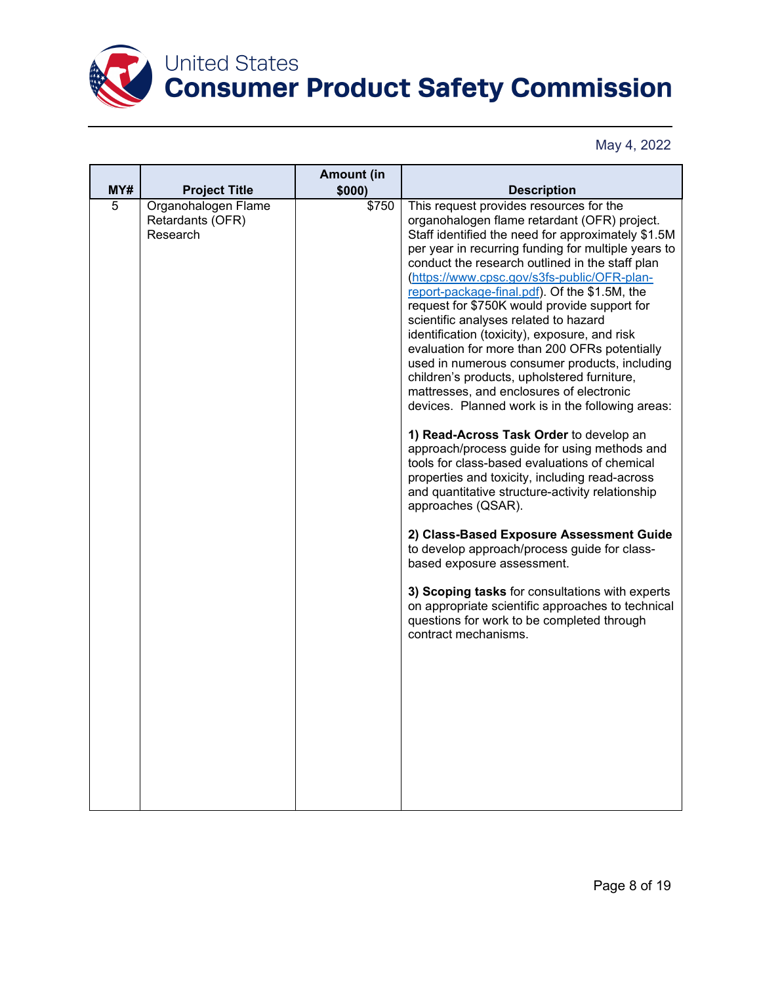

|                |                                                     | <b>Amount (in</b> |                                                                                                                                                                                                                                                                                                                                                                                                                                                                                                                                                                                                                                                                                                                                                                                                                                                                                                                                                                                                                                                                                                                                                                                                                                                                                                                                    |
|----------------|-----------------------------------------------------|-------------------|------------------------------------------------------------------------------------------------------------------------------------------------------------------------------------------------------------------------------------------------------------------------------------------------------------------------------------------------------------------------------------------------------------------------------------------------------------------------------------------------------------------------------------------------------------------------------------------------------------------------------------------------------------------------------------------------------------------------------------------------------------------------------------------------------------------------------------------------------------------------------------------------------------------------------------------------------------------------------------------------------------------------------------------------------------------------------------------------------------------------------------------------------------------------------------------------------------------------------------------------------------------------------------------------------------------------------------|
| MY#            | <b>Project Title</b>                                | \$000)            | <b>Description</b>                                                                                                                                                                                                                                                                                                                                                                                                                                                                                                                                                                                                                                                                                                                                                                                                                                                                                                                                                                                                                                                                                                                                                                                                                                                                                                                 |
| $\overline{5}$ | Organohalogen Flame<br>Retardants (OFR)<br>Research | \$750             | This request provides resources for the<br>organohalogen flame retardant (OFR) project.<br>Staff identified the need for approximately \$1.5M<br>per year in recurring funding for multiple years to<br>conduct the research outlined in the staff plan<br>(https://www.cpsc.gov/s3fs-public/OFR-plan-<br>report-package-final.pdf). Of the \$1.5M, the<br>request for \$750K would provide support for<br>scientific analyses related to hazard<br>identification (toxicity), exposure, and risk<br>evaluation for more than 200 OFRs potentially<br>used in numerous consumer products, including<br>children's products, upholstered furniture,<br>mattresses, and enclosures of electronic<br>devices. Planned work is in the following areas:<br>1) Read-Across Task Order to develop an<br>approach/process guide for using methods and<br>tools for class-based evaluations of chemical<br>properties and toxicity, including read-across<br>and quantitative structure-activity relationship<br>approaches (QSAR).<br>2) Class-Based Exposure Assessment Guide<br>to develop approach/process guide for class-<br>based exposure assessment.<br>3) Scoping tasks for consultations with experts<br>on appropriate scientific approaches to technical<br>questions for work to be completed through<br>contract mechanisms. |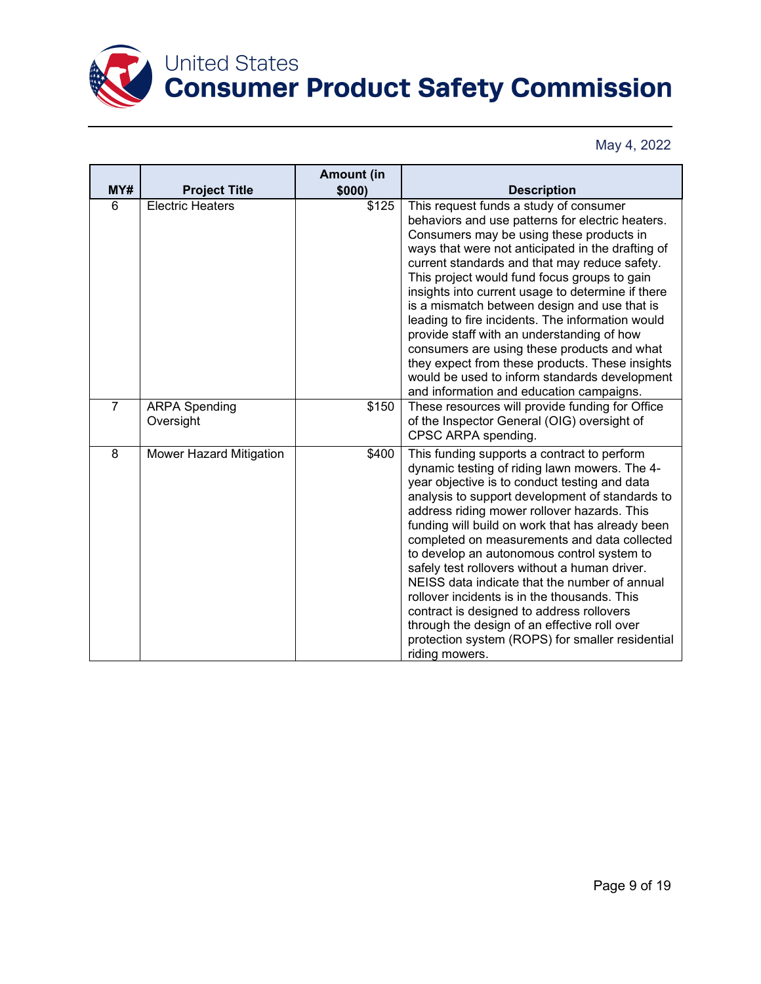

|                |                                   | <b>Amount (in</b> |                                                                                                                                                                                                                                                                                                                                                                                                                                                                                                                                                                                                                                                                                                                        |
|----------------|-----------------------------------|-------------------|------------------------------------------------------------------------------------------------------------------------------------------------------------------------------------------------------------------------------------------------------------------------------------------------------------------------------------------------------------------------------------------------------------------------------------------------------------------------------------------------------------------------------------------------------------------------------------------------------------------------------------------------------------------------------------------------------------------------|
| MY#            | <b>Project Title</b>              | \$000)            | <b>Description</b>                                                                                                                                                                                                                                                                                                                                                                                                                                                                                                                                                                                                                                                                                                     |
| 6              | <b>Electric Heaters</b>           | \$125             | This request funds a study of consumer<br>behaviors and use patterns for electric heaters.<br>Consumers may be using these products in<br>ways that were not anticipated in the drafting of<br>current standards and that may reduce safety.<br>This project would fund focus groups to gain<br>insights into current usage to determine if there<br>is a mismatch between design and use that is<br>leading to fire incidents. The information would<br>provide staff with an understanding of how<br>consumers are using these products and what<br>they expect from these products. These insights<br>would be used to inform standards development<br>and information and education campaigns.                     |
| $\overline{7}$ | <b>ARPA Spending</b><br>Oversight | \$150             | These resources will provide funding for Office<br>of the Inspector General (OIG) oversight of<br>CPSC ARPA spending.                                                                                                                                                                                                                                                                                                                                                                                                                                                                                                                                                                                                  |
| 8              | Mower Hazard Mitigation           | \$400             | This funding supports a contract to perform<br>dynamic testing of riding lawn mowers. The 4-<br>year objective is to conduct testing and data<br>analysis to support development of standards to<br>address riding mower rollover hazards. This<br>funding will build on work that has already been<br>completed on measurements and data collected<br>to develop an autonomous control system to<br>safely test rollovers without a human driver.<br>NEISS data indicate that the number of annual<br>rollover incidents is in the thousands. This<br>contract is designed to address rollovers<br>through the design of an effective roll over<br>protection system (ROPS) for smaller residential<br>riding mowers. |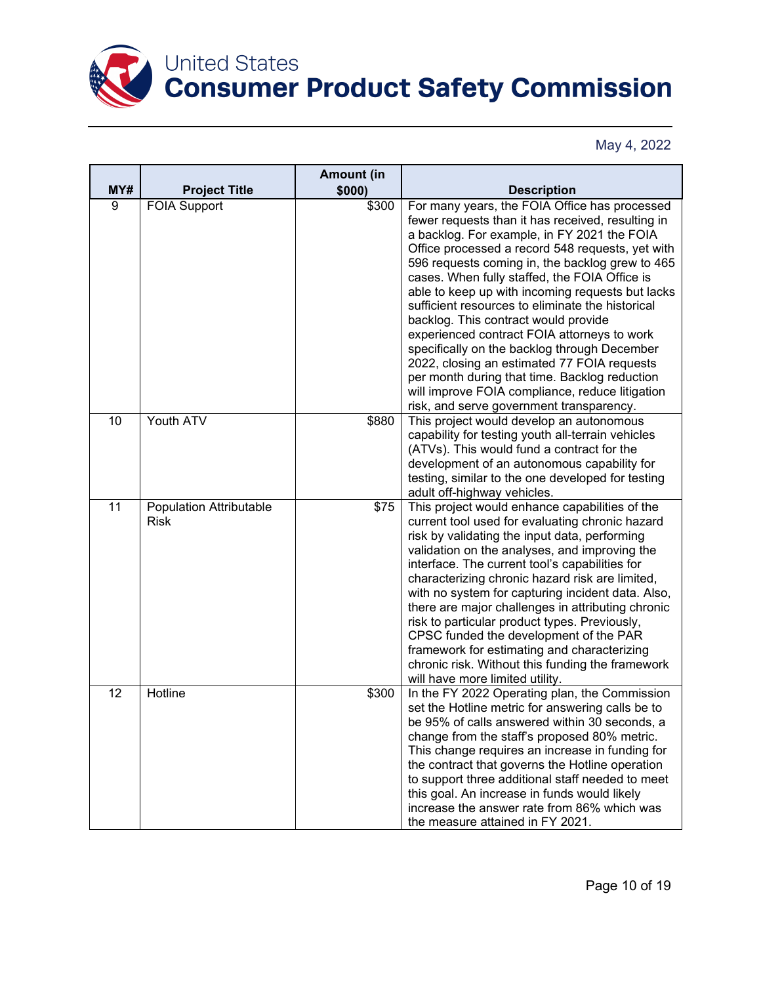

|                |                                               | <b>Amount (in</b> |                                                                                                                                                                                                                                                                                                                                                                                                                                                                                                                                                                                                                                                                                                                                                         |
|----------------|-----------------------------------------------|-------------------|---------------------------------------------------------------------------------------------------------------------------------------------------------------------------------------------------------------------------------------------------------------------------------------------------------------------------------------------------------------------------------------------------------------------------------------------------------------------------------------------------------------------------------------------------------------------------------------------------------------------------------------------------------------------------------------------------------------------------------------------------------|
| MY#            | <b>Project Title</b>                          | \$000)            | <b>Description</b>                                                                                                                                                                                                                                                                                                                                                                                                                                                                                                                                                                                                                                                                                                                                      |
| $\overline{9}$ | <b>FOIA Support</b>                           | \$300             | For many years, the FOIA Office has processed<br>fewer requests than it has received, resulting in<br>a backlog. For example, in FY 2021 the FOIA<br>Office processed a record 548 requests, yet with<br>596 requests coming in, the backlog grew to 465<br>cases. When fully staffed, the FOIA Office is<br>able to keep up with incoming requests but lacks<br>sufficient resources to eliminate the historical<br>backlog. This contract would provide<br>experienced contract FOIA attorneys to work<br>specifically on the backlog through December<br>2022, closing an estimated 77 FOIA requests<br>per month during that time. Backlog reduction<br>will improve FOIA compliance, reduce litigation<br>risk, and serve government transparency. |
| 10             | Youth ATV                                     | \$880             | This project would develop an autonomous<br>capability for testing youth all-terrain vehicles<br>(ATVs). This would fund a contract for the<br>development of an autonomous capability for<br>testing, similar to the one developed for testing<br>adult off-highway vehicles.                                                                                                                                                                                                                                                                                                                                                                                                                                                                          |
| 11             | <b>Population Attributable</b><br><b>Risk</b> | \$75              | This project would enhance capabilities of the<br>current tool used for evaluating chronic hazard<br>risk by validating the input data, performing<br>validation on the analyses, and improving the<br>interface. The current tool's capabilities for<br>characterizing chronic hazard risk are limited,<br>with no system for capturing incident data. Also,<br>there are major challenges in attributing chronic<br>risk to particular product types. Previously,<br>CPSC funded the development of the PAR<br>framework for estimating and characterizing<br>chronic risk. Without this funding the framework<br>will have more limited utility.                                                                                                     |
| 12             | Hotline                                       | \$300             | In the FY 2022 Operating plan, the Commission<br>set the Hotline metric for answering calls be to<br>be 95% of calls answered within 30 seconds, a<br>change from the staff's proposed 80% metric.<br>This change requires an increase in funding for<br>the contract that governs the Hotline operation<br>to support three additional staff needed to meet<br>this goal. An increase in funds would likely<br>increase the answer rate from 86% which was<br>the measure attained in FY 2021.                                                                                                                                                                                                                                                         |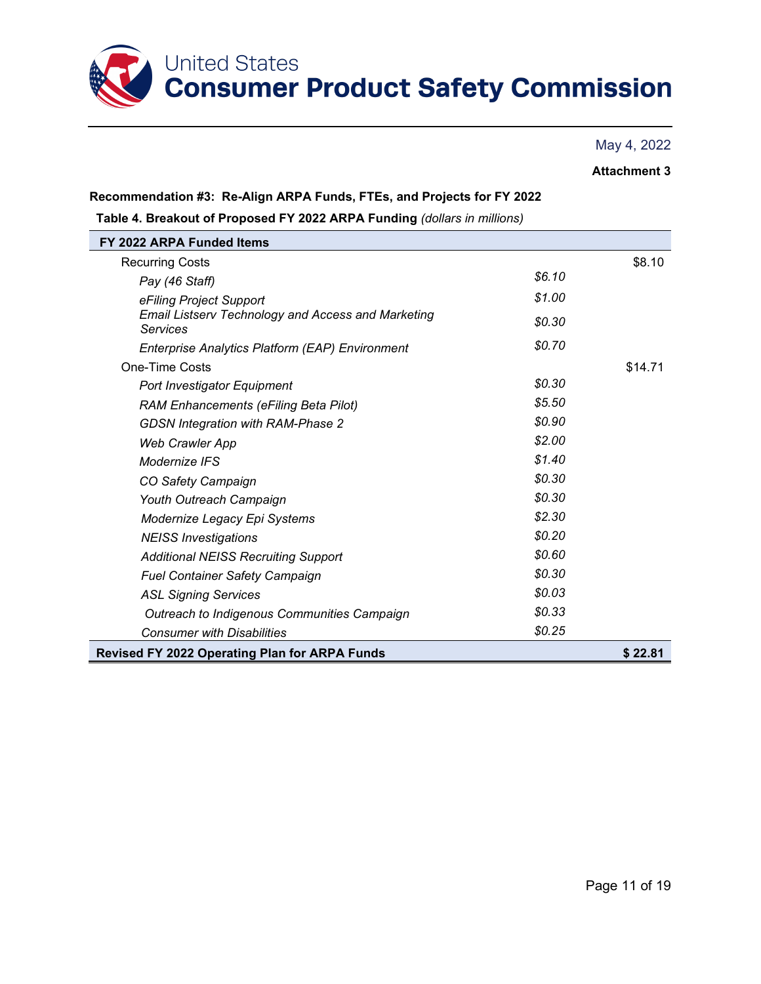

### **Attachment 3**

#### **Recommendation #3: Re-Align ARPA Funds, FTEs, and Projects for FY 2022**

**Table 4. Breakout of Proposed FY 2022 ARPA Funding** *(dollars in millions)*

| FY 2022 ARPA Funded Items                                                    |        |         |
|------------------------------------------------------------------------------|--------|---------|
| <b>Recurring Costs</b>                                                       |        | \$8.10  |
| Pay (46 Staff)                                                               | \$6.10 |         |
| eFiling Project Support                                                      | \$1.00 |         |
| <b>Email Listserv Technology and Access and Marketing</b><br><b>Services</b> | \$0.30 |         |
| Enterprise Analytics Platform (EAP) Environment                              | \$0.70 |         |
| <b>One-Time Costs</b>                                                        |        | \$14.71 |
| Port Investigator Equipment                                                  | \$0.30 |         |
| <b>RAM Enhancements (eFiling Beta Pilot)</b>                                 | \$5.50 |         |
| <b>GDSN Integration with RAM-Phase 2</b>                                     | \$0.90 |         |
| <b>Web Crawler App</b>                                                       | \$2.00 |         |
| Modernize IFS                                                                | \$1.40 |         |
| CO Safety Campaign                                                           | \$0.30 |         |
| Youth Outreach Campaign                                                      | \$0.30 |         |
| Modernize Legacy Epi Systems                                                 | \$2.30 |         |
| <b>NEISS Investigations</b>                                                  | \$0.20 |         |
| <b>Additional NEISS Recruiting Support</b>                                   | \$0.60 |         |
| <b>Fuel Container Safety Campaign</b>                                        | \$0.30 |         |
| <b>ASL Signing Services</b>                                                  | \$0.03 |         |
| Outreach to Indigenous Communities Campaign                                  | \$0.33 |         |
| <b>Consumer with Disabilities</b>                                            | \$0.25 |         |
| <b>Revised FY 2022 Operating Plan for ARPA Funds</b>                         |        | \$22.81 |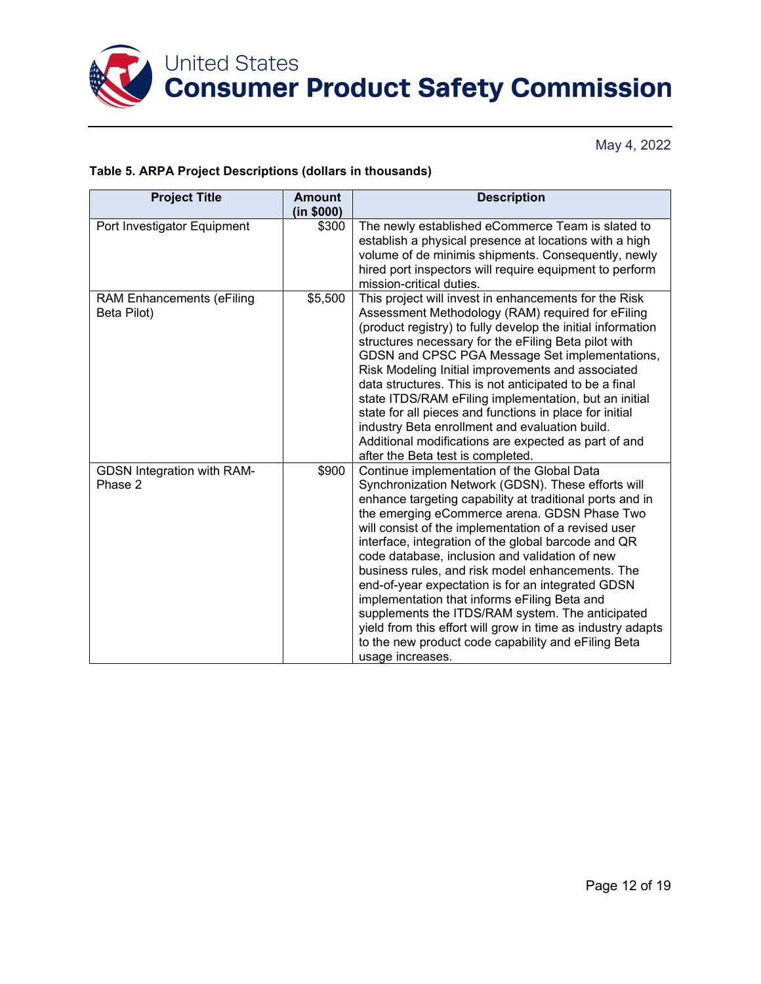

### **Table 5. ARPA Project Descriptions (dollars in thousands)**

| <b>Project Title</b>                            | <b>Amount</b><br>(in \$000) | <b>Description</b>                                                                                                                                                                                                                                                                                                                                                                                                                                                                                                                                                                                                                                                                                                                   |
|-------------------------------------------------|-----------------------------|--------------------------------------------------------------------------------------------------------------------------------------------------------------------------------------------------------------------------------------------------------------------------------------------------------------------------------------------------------------------------------------------------------------------------------------------------------------------------------------------------------------------------------------------------------------------------------------------------------------------------------------------------------------------------------------------------------------------------------------|
| Port Investigator Equipment                     | \$300                       | The newly established eCommerce Team is slated to<br>establish a physical presence at locations with a high<br>volume of de minimis shipments. Consequently, newly<br>hired port inspectors will require equipment to perform<br>mission-critical duties.                                                                                                                                                                                                                                                                                                                                                                                                                                                                            |
| <b>RAM Enhancements (eFiling</b><br>Beta Pilot) | \$5,500                     | This project will invest in enhancements for the Risk<br>Assessment Methodology (RAM) required for eFiling<br>(product registry) to fully develop the initial information<br>structures necessary for the eFiling Beta pilot with<br>GDSN and CPSC PGA Message Set implementations,<br>Risk Modeling Initial improvements and associated<br>data structures. This is not anticipated to be a final<br>state ITDS/RAM eFiling implementation, but an initial<br>state for all pieces and functions in place for initial<br>industry Beta enrollment and evaluation build.<br>Additional modifications are expected as part of and<br>after the Beta test is completed.                                                                |
| <b>GDSN Integration with RAM-</b><br>Phase 2    | \$900                       | Continue implementation of the Global Data<br>Synchronization Network (GDSN). These efforts will<br>enhance targeting capability at traditional ports and in<br>the emerging eCommerce arena. GDSN Phase Two<br>will consist of the implementation of a revised user<br>interface, integration of the global barcode and QR<br>code database, inclusion and validation of new<br>business rules, and risk model enhancements. The<br>end-of-year expectation is for an integrated GDSN<br>implementation that informs eFiling Beta and<br>supplements the ITDS/RAM system. The anticipated<br>yield from this effort will grow in time as industry adapts<br>to the new product code capability and eFiling Beta<br>usage increases. |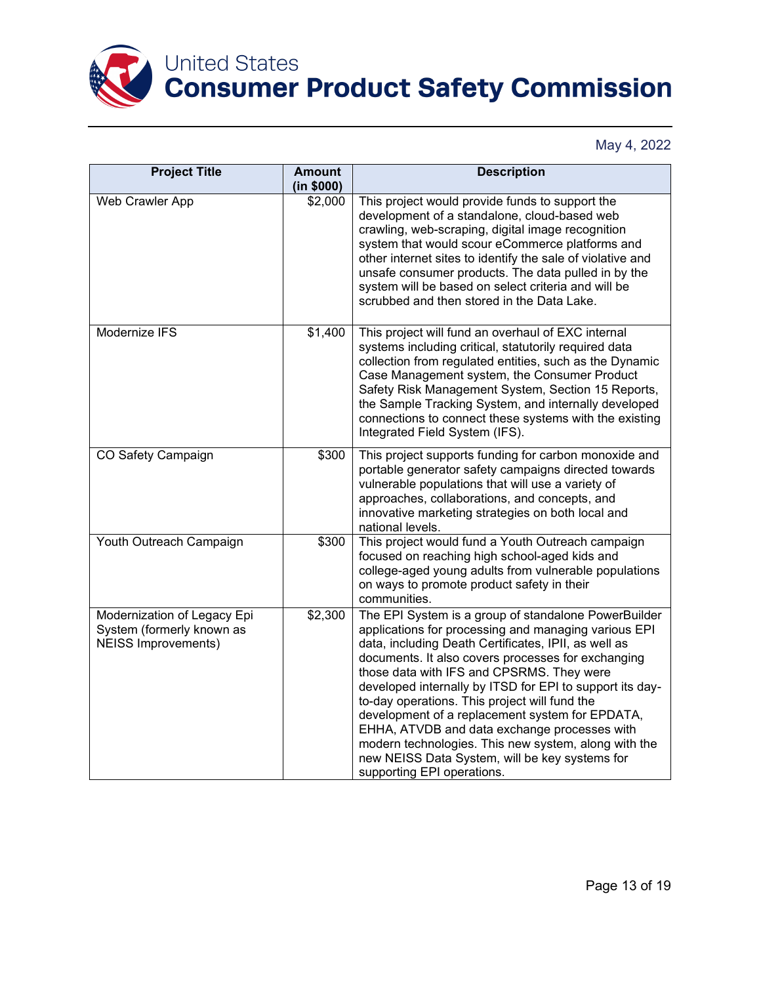

| <b>Project Title</b>                                                                   | <b>Amount</b><br>(in \$000) | <b>Description</b>                                                                                                                                                                                                                                                                                                                                                                                                                                                                                                                                                                                                              |  |  |
|----------------------------------------------------------------------------------------|-----------------------------|---------------------------------------------------------------------------------------------------------------------------------------------------------------------------------------------------------------------------------------------------------------------------------------------------------------------------------------------------------------------------------------------------------------------------------------------------------------------------------------------------------------------------------------------------------------------------------------------------------------------------------|--|--|
| Web Crawler App                                                                        | \$2,000                     | This project would provide funds to support the<br>development of a standalone, cloud-based web<br>crawling, web-scraping, digital image recognition<br>system that would scour eCommerce platforms and<br>other internet sites to identify the sale of violative and<br>unsafe consumer products. The data pulled in by the<br>system will be based on select criteria and will be<br>scrubbed and then stored in the Data Lake.                                                                                                                                                                                               |  |  |
| Modernize IFS                                                                          | \$1,400                     | This project will fund an overhaul of EXC internal<br>systems including critical, statutorily required data<br>collection from regulated entities, such as the Dynamic<br>Case Management system, the Consumer Product<br>Safety Risk Management System, Section 15 Reports,<br>the Sample Tracking System, and internally developed<br>connections to connect these systems with the existing<br>Integrated Field System (IFS).                                                                                                                                                                                                |  |  |
| CO Safety Campaign                                                                     | \$300                       | This project supports funding for carbon monoxide and<br>portable generator safety campaigns directed towards<br>vulnerable populations that will use a variety of<br>approaches, collaborations, and concepts, and<br>innovative marketing strategies on both local and<br>national levels.                                                                                                                                                                                                                                                                                                                                    |  |  |
| Youth Outreach Campaign                                                                | \$300                       | This project would fund a Youth Outreach campaign<br>focused on reaching high school-aged kids and<br>college-aged young adults from vulnerable populations<br>on ways to promote product safety in their<br>communities.                                                                                                                                                                                                                                                                                                                                                                                                       |  |  |
| Modernization of Legacy Epi<br>System (formerly known as<br><b>NEISS Improvements)</b> | \$2,300                     | The EPI System is a group of standalone PowerBuilder<br>applications for processing and managing various EPI<br>data, including Death Certificates, IPII, as well as<br>documents. It also covers processes for exchanging<br>those data with IFS and CPSRMS. They were<br>developed internally by ITSD for EPI to support its day-<br>to-day operations. This project will fund the<br>development of a replacement system for EPDATA,<br>EHHA, ATVDB and data exchange processes with<br>modern technologies. This new system, along with the<br>new NEISS Data System, will be key systems for<br>supporting EPI operations. |  |  |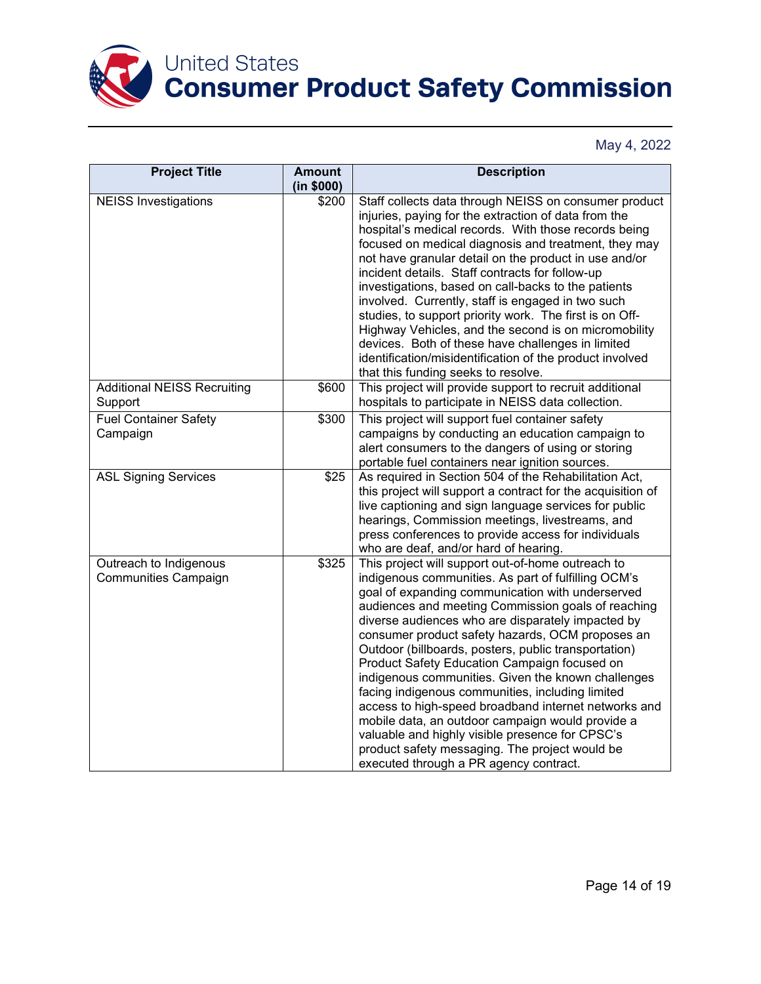

| <b>Project Title</b>                           | <b>Amount</b><br>(in \$000) | <b>Description</b>                                                                                                                                                                                                                                                                                                                                                                                                                                                                                                                                                                                                                                                                                                                                                                                       |
|------------------------------------------------|-----------------------------|----------------------------------------------------------------------------------------------------------------------------------------------------------------------------------------------------------------------------------------------------------------------------------------------------------------------------------------------------------------------------------------------------------------------------------------------------------------------------------------------------------------------------------------------------------------------------------------------------------------------------------------------------------------------------------------------------------------------------------------------------------------------------------------------------------|
| <b>NEISS Investigations</b>                    | \$200                       | Staff collects data through NEISS on consumer product<br>injuries, paying for the extraction of data from the<br>hospital's medical records. With those records being<br>focused on medical diagnosis and treatment, they may<br>not have granular detail on the product in use and/or<br>incident details. Staff contracts for follow-up<br>investigations, based on call-backs to the patients<br>involved. Currently, staff is engaged in two such<br>studies, to support priority work. The first is on Off-<br>Highway Vehicles, and the second is on micromobility<br>devices. Both of these have challenges in limited<br>identification/misidentification of the product involved<br>that this funding seeks to resolve.                                                                         |
| <b>Additional NEISS Recruiting</b><br>Support  | \$600                       | This project will provide support to recruit additional<br>hospitals to participate in NEISS data collection.                                                                                                                                                                                                                                                                                                                                                                                                                                                                                                                                                                                                                                                                                            |
| <b>Fuel Container Safety</b><br>Campaign       | \$300                       | This project will support fuel container safety<br>campaigns by conducting an education campaign to<br>alert consumers to the dangers of using or storing<br>portable fuel containers near ignition sources.                                                                                                                                                                                                                                                                                                                                                                                                                                                                                                                                                                                             |
| <b>ASL Signing Services</b>                    | \$25                        | As required in Section 504 of the Rehabilitation Act,<br>this project will support a contract for the acquisition of<br>live captioning and sign language services for public<br>hearings, Commission meetings, livestreams, and<br>press conferences to provide access for individuals<br>who are deaf, and/or hard of hearing.                                                                                                                                                                                                                                                                                                                                                                                                                                                                         |
| Outreach to Indigenous<br>Communities Campaign | \$325                       | This project will support out-of-home outreach to<br>indigenous communities. As part of fulfilling OCM's<br>goal of expanding communication with underserved<br>audiences and meeting Commission goals of reaching<br>diverse audiences who are disparately impacted by<br>consumer product safety hazards, OCM proposes an<br>Outdoor (billboards, posters, public transportation)<br>Product Safety Education Campaign focused on<br>indigenous communities. Given the known challenges<br>facing indigenous communities, including limited<br>access to high-speed broadband internet networks and<br>mobile data, an outdoor campaign would provide a<br>valuable and highly visible presence for CPSC's<br>product safety messaging. The project would be<br>executed through a PR agency contract. |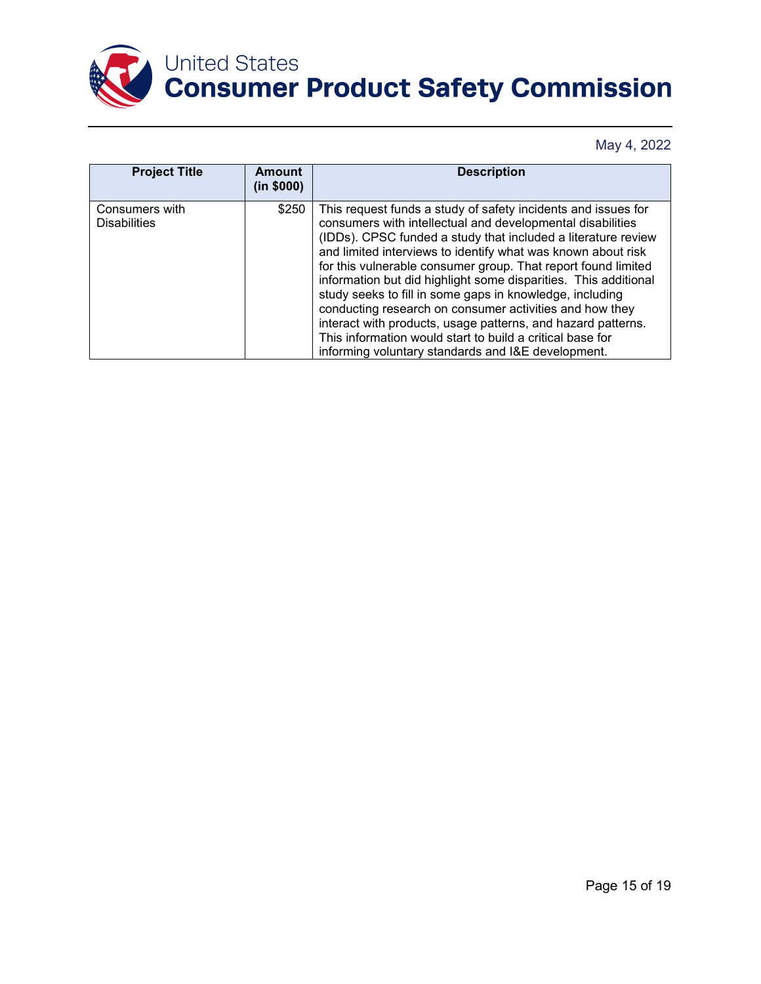

| <b>Project Title</b>                  | Amount<br>(in \$000) | <b>Description</b>                                                                                                                                                                                                                                                                                                                                                                                                                                                                                                                                                                                                                                                                                         |
|---------------------------------------|----------------------|------------------------------------------------------------------------------------------------------------------------------------------------------------------------------------------------------------------------------------------------------------------------------------------------------------------------------------------------------------------------------------------------------------------------------------------------------------------------------------------------------------------------------------------------------------------------------------------------------------------------------------------------------------------------------------------------------------|
| Consumers with<br><b>Disabilities</b> | \$250                | This request funds a study of safety incidents and issues for<br>consumers with intellectual and developmental disabilities<br>(IDDs). CPSC funded a study that included a literature review<br>and limited interviews to identify what was known about risk<br>for this vulnerable consumer group. That report found limited<br>information but did highlight some disparities. This additional<br>study seeks to fill in some gaps in knowledge, including<br>conducting research on consumer activities and how they<br>interact with products, usage patterns, and hazard patterns.<br>This information would start to build a critical base for<br>informing voluntary standards and I&E development. |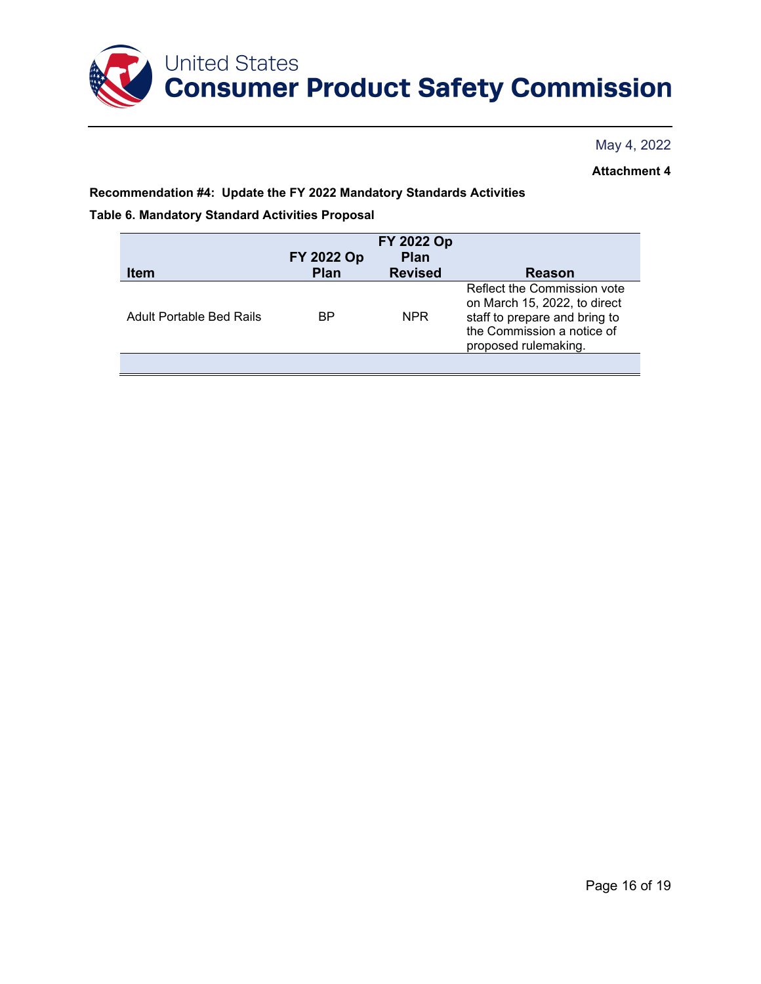

**Attachment 4**

**Recommendation #4: Update the FY 2022 Mandatory Standards Activities**

**Table 6. Mandatory Standard Activities Proposal**

|                          | FY 2022 Op  | FY 2022 Op<br><b>Plan</b> |                                                                                                                                                    |
|--------------------------|-------------|---------------------------|----------------------------------------------------------------------------------------------------------------------------------------------------|
| <b>Item</b>              | <b>Plan</b> | <b>Revised</b>            | Reason                                                                                                                                             |
| Adult Portable Bed Rails | BP.         | <b>NPR</b>                | Reflect the Commission vote<br>on March 15, 2022, to direct<br>staff to prepare and bring to<br>the Commission a notice of<br>proposed rulemaking. |
|                          |             |                           |                                                                                                                                                    |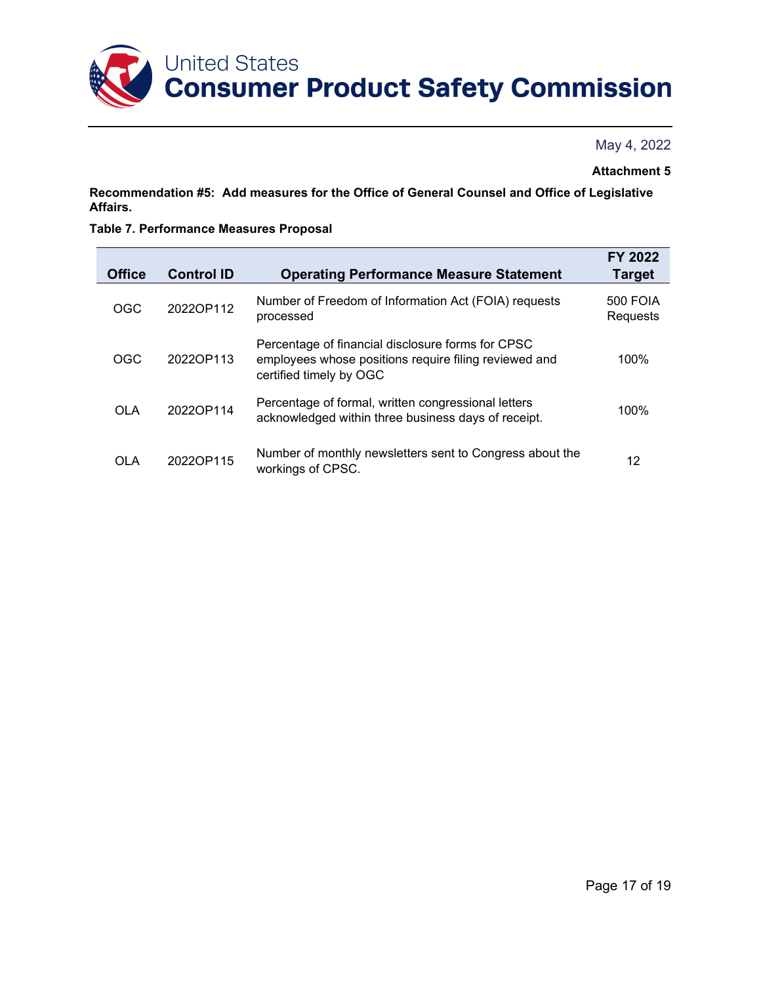

#### **Attachment 5**

**Recommendation #5: Add measures for the Office of General Counsel and Office of Legislative Affairs.**

#### **Table 7. Performance Measures Proposal**

| <b>Office</b> | <b>Control ID</b> | <b>Operating Performance Measure Statement</b>                                                                                        | FY 2022<br><b>Target</b>    |
|---------------|-------------------|---------------------------------------------------------------------------------------------------------------------------------------|-----------------------------|
| OGC           | 2022OP112         | Number of Freedom of Information Act (FOIA) requests<br>processed                                                                     | <b>500 FOIA</b><br>Requests |
| <b>OGC</b>    | 2022OP113         | Percentage of financial disclosure forms for CPSC<br>employees whose positions require filing reviewed and<br>certified timely by OGC | 100%                        |
| <b>OLA</b>    | 2022OP114         | Percentage of formal, written congressional letters<br>acknowledged within three business days of receipt.                            | 100%                        |
| OLA           | 2022OP115         | Number of monthly newsletters sent to Congress about the<br>workings of CPSC.                                                         | 12                          |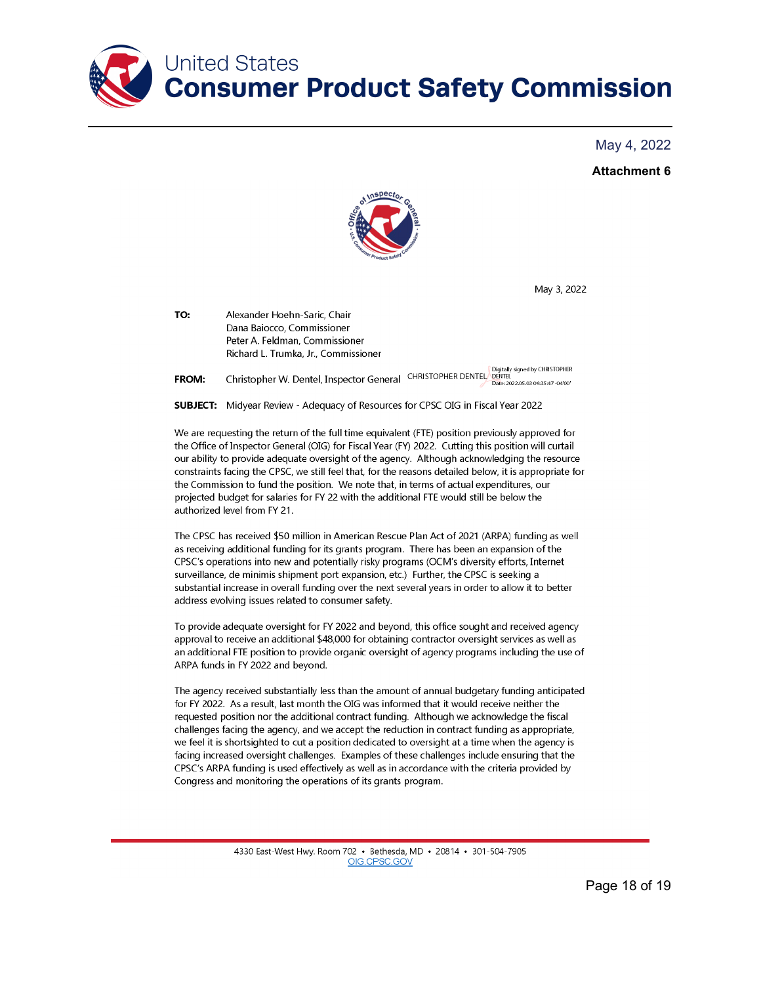

#### **Attachment 6**



May 3, 2022

TO: Alexander Hoehn-Saric, Chair Dana Baiocco, Commissioner Peter A. Feldman, Commissioner Richard L. Trumka, Jr., Commissioner

Digitally signed by CHRISTOPHER Christopher W. Dentel, Inspector General CHRISTOPHER DENTEL Determination Spined by CHRISTOPHER CENTEL DENTEL<br>У Date: 2022.05.03 09:35:47-0400" **FROM:** 

**SUBJECT:** Midyear Review - Adequacy of Resources for CPSC OIG in Fiscal Year 2022

We are requesting the return of the full time equivalent (FTE) position previously approved for the Office of Inspector General (OIG) for Fiscal Year (FY) 2022. Cutting this position will curtail our ability to provide adequate oversight of the agency. Although acknowledging the resource constraints facing the CPSC, we still feel that, for the reasons detailed below, it is appropriate for the Commission to fund the position. We note that, in terms of actual expenditures, our projected budget for salaries for FY 22 with the additional FTE would still be below the authorized level from FY 21.

The CPSC has received \$50 million in American Rescue Plan Act of 2021 (ARPA) funding as well as receiving additional funding for its grants program. There has been an expansion of the CPSC's operations into new and potentially risky programs (OCM's diversity efforts, Internet surveillance, de minimis shipment port expansion, etc.) Further, the CPSC is seeking a substantial increase in overall funding over the next several years in order to allow it to better address evolving issues related to consumer safety.

To provide adequate oversight for FY 2022 and beyond, this office sought and received agency approval to receive an additional \$48,000 for obtaining contractor oversight services as well as an additional FTE position to provide organic oversight of agency programs including the use of ARPA funds in FY 2022 and beyond.

The agency received substantially less than the amount of annual budgetary funding anticipated for FY 2022. As a result, last month the OIG was informed that it would receive neither the requested position nor the additional contract funding. Although we acknowledge the fiscal challenges facing the agency, and we accept the reduction in contract funding as appropriate, we feel it is shortsighted to cut a position dedicated to oversight at a time when the agency is facing increased oversight challenges. Examples of these challenges include ensuring that the CPSC's ARPA funding is used effectively as well as in accordance with the criteria provided by Congress and monitoring the operations of its grants program.